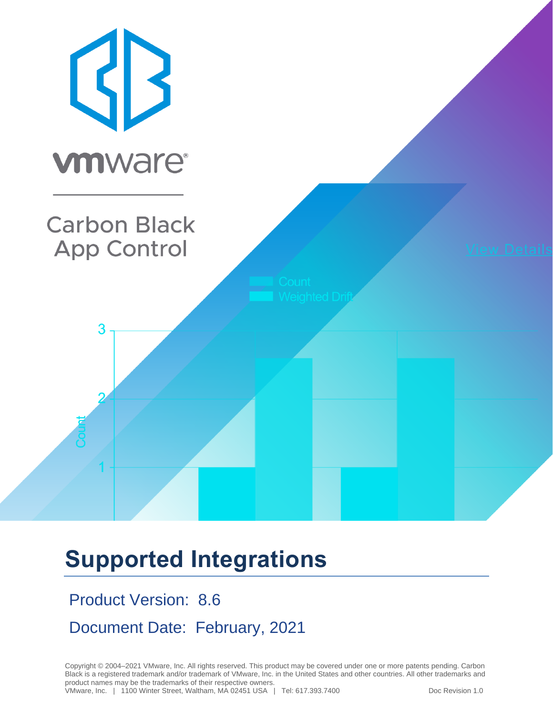

# **Supported Integrations**

## Product Version: 8.6

## Document Date: February, 2021

Copyright © 2004–2021 VMware, Inc. All rights reserved. This product may be covered under one or more patents pending. Carbon Black is a registered trademark and/or trademark of VMware, Inc. in the United States and other countries. All other trademarks and product names may be the trademarks of their respective owners.

VMware, Inc. | 1100 Winter Street, Waltham, MA 02451 USA | Tel: 617.393.7400 Doc Revision 1.0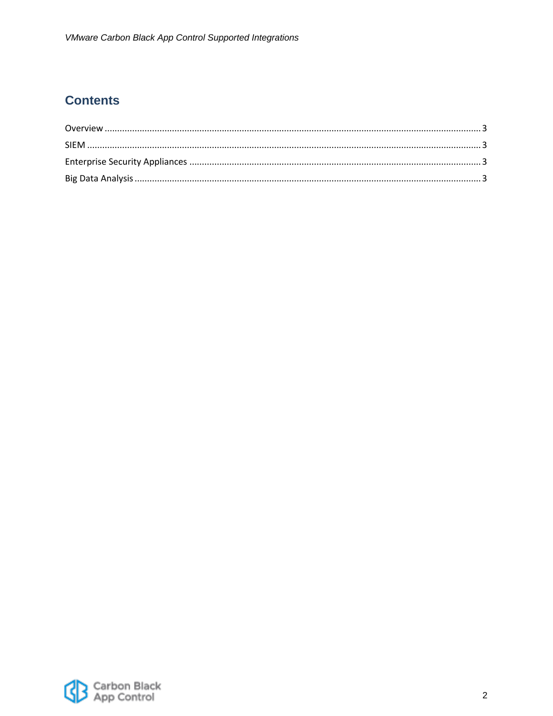### **Contents**